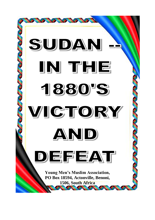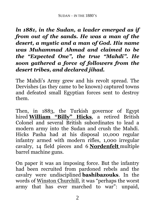*ln 1881, in the Sudan, a leader emerged as if from out of the sands. He was a man of the desert, a mystic and a man of God. His name was Muhammad Ahmad and claimed to be the "Expected One", the true "Mahdi". He soon gathered a force of followers from the desert tribes, and declared jihad.*

The Mahdi's Army grew and his revolt spread. The Dervishes (as they came to be known) captured towns and defeated small Egyptian forces sent to destroy them.

Then, in 1883, the Turkish governor of Egypt hired **[William](http://www.google.com/url?q=http%3A%2F%2Fen.wikipedia.org%2Fwiki%2FWilliam_Hicks&sa=D&sntz=1&usg=AFQjCNFDnwTF10V2P3gSCZJemB_xujzWuw) "Billy" Hicks**, a retired British Colonel and several British subordinates to lead a modern army into the Sudan and crush the Mahdi. Hicks Pasha had at his disposal 10,000 regular infantry armed with modern rifles, 1,000 irregular cavalry, 14 field pieces and 6 **[Nordenfelt](http://www.google.com/url?q=http%3A%2F%2Fen.wikipedia.org%2Fwiki%2FNordenfelt_gun&sa=D&sntz=1&usg=AFQjCNEoqTGsn7fQUmxYEPWDdWqk4EjFcw)** multiple barrel machine guns.

On paper it was an imposing force. But the infantry had been recruited from pardoned rebels and the cavalry were undisciplined **bashibazouks**. In the words of Winston [Churchill](http://www.google.com/url?q=http%3A%2F%2Fen.wikipedia.org%2Fwiki%2FWinston_Churchill&sa=D&sntz=1&usg=AFQjCNGEKUnP1jW9my9BM9PKE9zwAjmvsQ), it was "perhaps the worst army that has ever marched to war": unpaid,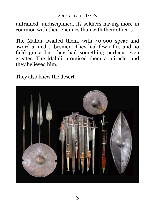### $S$ UDAN – IN THE  $1880$ 's

untrained, undisciplined, its soldiers having more in common with their enemies than with their officers.

The Mahdi awaited them, with 40,000 spear and sword-armed tribesmen. They had few rifles and no field guns; but they had something perhaps even greater. The Mahdi promised them a miracle, and they believed him.

They also knew the desert.

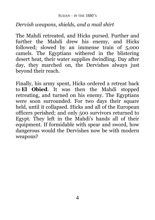# *Dervish weapons, shields, and a mail shirt*

The Mahdi retreated, and Hicks pursed. Further and further the Mahdi drew his enemy, and Hicks followed; slowed by an immense train of 5,000 camels. The Egyptians withered in the blistering desert heat, their water supplies dwindling. Day after day, they marched on, the Dervishes always just beyond their reach.

Finally, his army spent, Hicks ordered a retreat back to **El Obied**. It was then the Mahdi stopped retreating, and turned on his enemy. The Egyptians were soon surrounded. For two days their square held, until it collapsed. Hicks and all of the European officers perished; and only 500 survivors returned to Egypt. They left in the Mahdi's hands all of their equipment. If formidable with spear and sword, how dangerous would the Dervishes now be with modern weapons?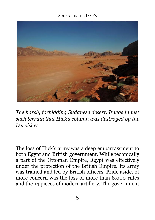### $S$ UDAN – IN THE  $1880$ 's



*The harsh, forbidding Sudanese desert. It was in just such terrain that Hick's column was destroyed by the Dervishes.*

The loss of Hick's army was a deep embarrassment to both Egypt and British government. While technically a part of the Ottoman Empire, Egypt was effectively under the protection of the British Empire. Its army was trained and led by British officers. Pride aside, of more concern was the loss of more than 8,000 rifles and the 14 pieces of modern artillery. The government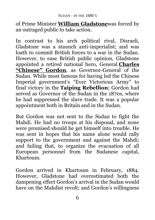of Prime Minister **William [Gladstone](http://www.google.com/url?q=http%3A%2F%2Fen.wikipedia.org%2Fwiki%2FWilliam_Gladstone&sa=D&sntz=1&usg=AFQjCNGypPiXyVlw--RL83jCh7yhzv9lZQ)**was forced by an outraged public to take action.

In contrast to his arch political rival, Disraeli, Gladstone was a staunch anti-imperialist; and was loath to commit British forces to a war in the Sudan. However, to ease British public opinion, Gladstone appointed a retired national hero, General **[Charles](http://www.google.com/url?q=http%3A%2F%2Fen.wikipedia.org%2Fwiki%2FCharles_George_Gordon&sa=D&sntz=1&usg=AFQjCNF4Ey1bz3c886G4fSbv6ECYpJcp_Q) ["Chinese"](http://www.google.com/url?q=http%3A%2F%2Fen.wikipedia.org%2Fwiki%2FCharles_George_Gordon&sa=D&sntz=1&usg=AFQjCNF4Ey1bz3c886G4fSbv6ECYpJcp_Q) Gordon**, as Governor-General of the Sudan. While most famous for having led the Chinese Imperial government's "Ever Victorious Army" to final victory in the **Taiping Rebellion**; Gordon had served as Governor of the Sudan in the 1870s, where he had suppressed the slave trade. It was a popular appointment both in Britain and in the Sudan.

But Gordon was not sent to the Sudan to fight the Mahdi. He had no troops at his disposal, and none were promised should he get himself into trouble. He was sent in hopes that his name alone would rally support to the government and against the Mahdi; and failing that, to organize the evacuation of all European personnel from the Sudanese capital, Khartoum.

Gordon arrived in Khartoum in February, 1884. However, Gladstone had overestimated both the dampening effect Gordon's arrival in the Sudan would have on the Mahdist revolt; and Gordon's willingness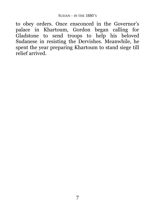to obey orders. Once ensconced in the Governor's palace in Khartoum, Gordon began calling for Gladstone to send troops to help his beloved Sudanese in resisting the Dervishes. Meanwhile, he spent the year preparing Khartoum to stand siege till relief arrived.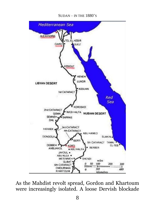#### SUDAN – IN THE 1880'S



As the Mahdist revolt spread, Gordon and Khartoum were increasingly isolated. A loose Dervish blockade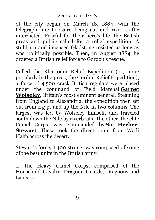of the city began on March 18, 1884, with the telegraph line to Cairo being cut and river traffic interdicted. Fearful for their hero's life, the British press and public called for a relief expedition. A stubborn and incensed Gladstone resisted as long as was politically possible. Then, in August 1884 he ordered a British relief force to Gordon's rescue.

Called the Khartoum Relief Expedition (or, more popularly in the press, the Gordon Relief Expedition), a force of 4,500 crack British regulars were placed under the command of Field Marshal **[Garnet](http://www.google.com/url?q=http%3A%2F%2Fen.wikipedia.org%2Fwiki%2FGarnet_Wolseley&sa=D&sntz=1&usg=AFQjCNGKVjCWzyrerqqjBbJhmkFK7xelcA) [Wolseley](http://www.google.com/url?q=http%3A%2F%2Fen.wikipedia.org%2Fwiki%2FGarnet_Wolseley&sa=D&sntz=1&usg=AFQjCNGKVjCWzyrerqqjBbJhmkFK7xelcA)**, Britain's most eminent general. Steaming from England to Alexandria, the expedition then set out from Egypt and up the Nile in two columns. The largest was led by Wolseley himself, and traveled south down the Nile by riverboats. The other, the elite Camel Corps, was commanded by **Sir [Herbert](http://www.google.com/url?q=http%3A%2F%2Fen.wikipedia.org%2Fwiki%2FSir_Herbert_Stewart&sa=D&sntz=1&usg=AFQjCNHAATOevhtRAzO9j2sJ0hhHOhNOQA) [Stewart](http://www.google.com/url?q=http%3A%2F%2Fen.wikipedia.org%2Fwiki%2FSir_Herbert_Stewart&sa=D&sntz=1&usg=AFQjCNHAATOevhtRAzO9j2sJ0hhHOhNOQA)**. These took the direct route from Wadi Halfa across the desert.

Stewart's force, 1,400 strong, was composed of some of the best units in the British army:

1. The Heavy Camel Corps, comprised of the Household Cavalry, Dragoon Guards, Dragoons and Lancers.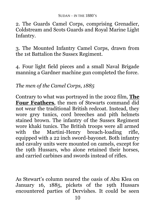2. The Guards Camel Corps, comprising Grenadier, Coldstream and Scots Guards and Royal Marine Light Infantry.

3. The Mounted Infantry Camel Corps, drawn from the 1st Battalion the Sussex Regiment.

4. Four light field pieces and a small Naval Brigade manning a Gardner machine gun completed the force.

# *The men of the Camel Corps, 1885*

Contrary to what was portrayed in the 2002 film, **[The](https://www.google.com/url?q=https%3A%2F%2Fwww.imdb.com%2Ftitle%2Ftt0240510%2F&sa=D&sntz=1&usg=AFQjCNE5vsCZ2loJZh0LAj7GM7TggH1V7w) Four [Feathers](https://www.google.com/url?q=https%3A%2F%2Fwww.imdb.com%2Ftitle%2Ftt0240510%2F&sa=D&sntz=1&usg=AFQjCNE5vsCZ2loJZh0LAj7GM7TggH1V7w)**, the men of Stewarts command did not wear the traditional British redcoat. Instead, they wore grey tunics, cord breeches and pith helmets stained brown. The infantry of the Sussex Regiment wore khaki tunics. The British troops were all armed with the Martini-Henry breach-loading rifle, equipped with a 22 inch sword-bayonet. Both infantry and cavalry units were mounted on camels, except for the 19th Hussars, who alone retained their horses, and carried carbines and swords instead of rifles.

As Stewart's column neared the oasis of Abu Klea on January 16, 1885, pickets of the 19th Hussars encountered parties of Dervishes. It could be seen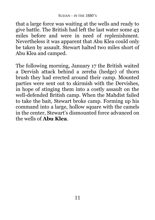that a large force was waiting at the wells and ready to give battle. The British had left the last water some 43 miles before and were in need of replenishment. Nevertheless it was apparent that Abu Klea could only be taken by assault. Stewart halted two miles short of Abu Klea and camped.

The following morning, January 17 the British waited a Dervish attack behind a zereba (hedge) of thorn brush they had erected around their camp. Mounted parties were sent out to skirmish with the Dervishes, in hope of stinging them into a costly assault on the well-defended British camp. When the Mahdist failed to take the bait, Stewart broke camp. Forming up his command into a large, hollow square with the camels in the center, Stewart's dismounted force advanced on the wells of **Abu Klea**.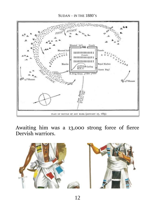

Awaiting him was a 13,000 strong force of fierce Dervish warriors.

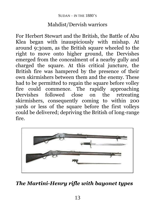# Mahdist/Dervish warriors

For Herbert Stewart and the British, the Battle of Abu Klea began with inauspiciously with mishap. At around 9:30am, as the British square wheeled to the right to move onto higher ground, the Dervishes emerged from the concealment of a nearby gully and charged the square. At this critical juncture, the British fire was hampered by the presence of their own skirmishers between them and the enemy. These had to be permitted to regain the square before volley fire could commence. The rapidly approaching Dervishes followed close on the retreating skirmishers, consequently coming to within 200 yards or less of the square before the first volleys could be delivered; depriving the British of long-range fire.



# *The Martini-Henry rifle with bayonet types*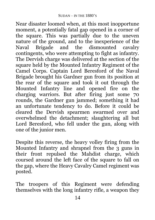Near disaster loomed when, at this most inopportune moment, a potentially fatal gap opened in a corner of the square. This was partially due to the uneven nature of the ground, and to the inexperience of the Naval Brigade and the dismounted cavalry contingents, who were attempting to fight as infantry. The Dervish charge was delivered at the section of the square held by the Mounted Infantry Regiment of the Camel Corps. Captain Lord Beresford of the Naval Brigade brought his Gardner gun from its position at the rear of the square and took it out through the Mounted Infantry line and opened fire on the charging warriors. But after firing just some 70 rounds, the Gardner gun jammed; something it had an unfortunate tendency to do. Before it could be cleared the Dervish spearmen swarmed over and overwhelmed the detachment; slaughtering all but Lord Beresford, who fell under the gun, along with one of the junior men.

Despite this reverse, the heavy volley firing from the Mounted Infantry and shrapnel from the 3 guns in their front repulsed the Mahdist charge, which coursed around the left face of the square to fall on the gap, where the Heavy Cavalry Camel regiment was posted.

The troopers of this Regiment were defending themselves with the long infantry rifle, a weapon they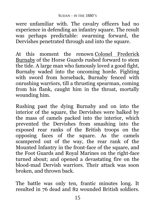were unfamiliar with. The cavalry officers had no experience in defending an infantry square. The result was perhaps predictable: swarming forward, the Dervishes penetrated through and into the square.

At this moment the renown Colonel [Frederick](https://www.google.com/url?q=https%3A%2F%2Fen.wikipedia.org%2Fwiki%2FFrederick_Burnaby&sa=D&sntz=1&usg=AFQjCNEXxxVFl7GDTzmLNYMfW_63ii32JQ) [Burnaby](https://www.google.com/url?q=https%3A%2F%2Fen.wikipedia.org%2Fwiki%2FFrederick_Burnaby&sa=D&sntz=1&usg=AFQjCNEXxxVFl7GDTzmLNYMfW_63ii32JQ) of the Horse Guards rushed forward to stem the tide. A large man who famously loved a good fight, Burnaby waded into the oncoming horde. Fighting with sword from horseback, Burnaby fenced with onrushing warriors, till a thrusting spearman, coming from his flank, caught him in the throat, mortally wounding him.

Rushing past the dying Burnaby and on into the interior of the square, the Dervishes were balked by the mass of camels packed into the interior, which prevented the Dervishes from smashing into the exposed rear ranks of the British troops on the opposing faces of the square. As the camels scampered out of the way, the rear rank of the Mounted Infantry in the front-face of the square, and the Foot Guards and Royal Marines on the right-face turned about; and opened a devastating fire on the blood-mad Dervish warriors. Their attack was soon broken, and thrown back.

The battle was only ten, frantic minutes long. It resulted in 76 dead and 82 wounded British soldiers.